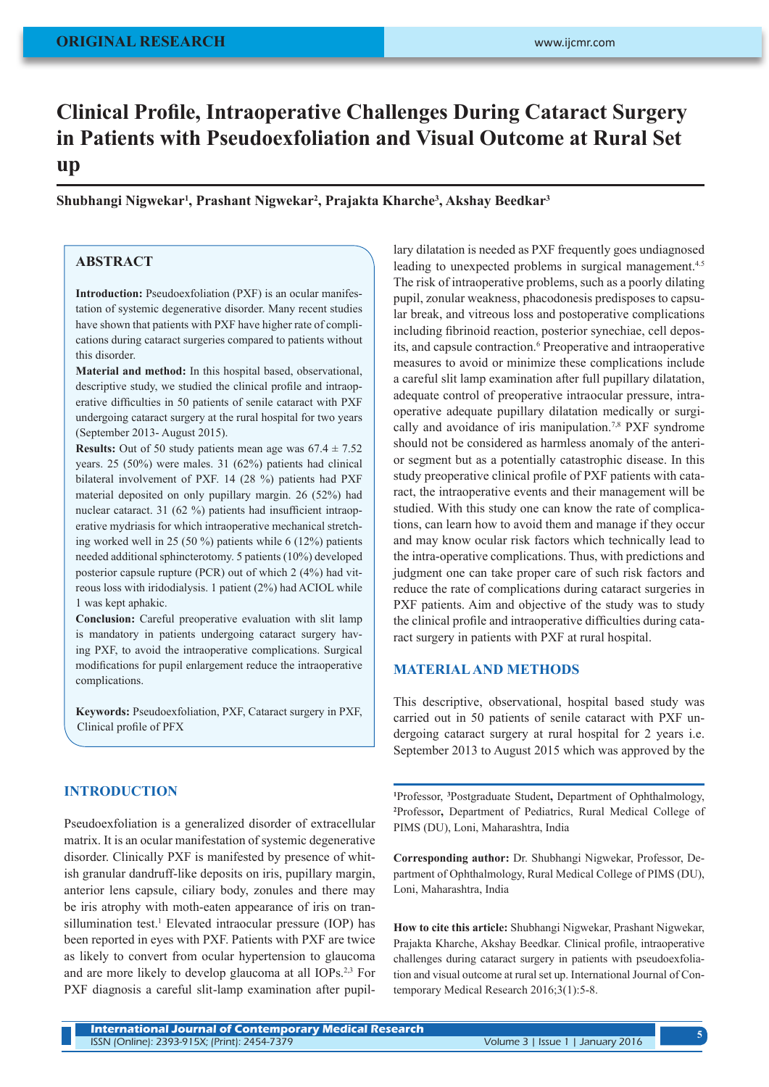# **Clinical Profile, Intraoperative Challenges During Cataract Surgery in Patients with Pseudoexfoliation and Visual Outcome at Rural Set up**

**Shubhangi Nigwekar<sup>1</sup> , Prashant Nigwekar<sup>2</sup> , Prajakta Kharche<sup>3</sup> , Akshay Beedkar<sup>3</sup>**

# **ABSTRACT**

**Introduction:** Pseudoexfoliation (PXF) is an ocular manifestation of systemic degenerative disorder. Many recent studies have shown that patients with PXF have higher rate of complications during cataract surgeries compared to patients without this disorder.

**Material and method:** In this hospital based, observational, descriptive study, we studied the clinical profile and intraoperative difficulties in 50 patients of senile cataract with PXF undergoing cataract surgery at the rural hospital for two years (September 2013- August 2015).

**Results:** Out of 50 study patients mean age was  $67.4 \pm 7.52$ years. 25 (50%) were males. 31 (62%) patients had clinical bilateral involvement of PXF. 14 (28 %) patients had PXF material deposited on only pupillary margin. 26 (52%) had nuclear cataract. 31 (62 %) patients had insufficient intraoperative mydriasis for which intraoperative mechanical stretching worked well in 25 (50 %) patients while 6 (12%) patients needed additional sphincterotomy. 5 patients (10%) developed posterior capsule rupture (PCR) out of which 2 (4%) had vitreous loss with iridodialysis. 1 patient (2%) had ACIOL while 1 was kept aphakic.

**Conclusion:** Careful preoperative evaluation with slit lamp is mandatory in patients undergoing cataract surgery having PXF, to avoid the intraoperative complications. Surgical modifications for pupil enlargement reduce the intraoperative complications.

**Keywords:** Pseudoexfoliation, PXF, Cataract surgery in PXF, Clinical profile of PFX

# **INTRODUCTION**

Pseudoexfoliation is a generalized disorder of extracellular matrix. It is an ocular manifestation of systemic degenerative disorder. Clinically PXF is manifested by presence of whitish granular dandruff-like deposits on iris, pupillary margin, anterior lens capsule, ciliary body, zonules and there may be iris atrophy with moth-eaten appearance of iris on tran $s$ illumination test.<sup>1</sup> Elevated intraocular pressure (IOP) has been reported in eyes with PXF. Patients with PXF are twice as likely to convert from ocular hypertension to glaucoma and are more likely to develop glaucoma at all IOPs.2,3 For PXF diagnosis a careful slit-lamp examination after pupillary dilatation is needed as PXF frequently goes undiagnosed leading to unexpected problems in surgical management.<sup>4.5</sup> The risk of intraoperative problems, such as a poorly dilating pupil, zonular weakness, phacodonesis predisposes to capsular break, and vitreous loss and postoperative complications including fibrinoid reaction, posterior synechiae, cell deposits, and capsule contraction.<sup>6</sup> Preoperative and intraoperative measures to avoid or minimize these complications include a careful slit lamp examination after full pupillary dilatation, adequate control of preoperative intraocular pressure, intraoperative adequate pupillary dilatation medically or surgically and avoidance of iris manipulation.<sup>7,8</sup> PXF syndrome should not be considered as harmless anomaly of the anterior segment but as a potentially catastrophic disease. In this study preoperative clinical profile of PXF patients with cataract, the intraoperative events and their management will be studied. With this study one can know the rate of complications, can learn how to avoid them and manage if they occur and may know ocular risk factors which technically lead to the intra-operative complications. Thus, with predictions and judgment one can take proper care of such risk factors and reduce the rate of complications during cataract surgeries in PXF patients. Aim and objective of the study was to study the clinical profile and intraoperative difficulties during cataract surgery in patients with PXF at rural hospital.

## **MATERIAL AND METHODS**

This descriptive, observational, hospital based study was carried out in 50 patients of senile cataract with PXF undergoing cataract surgery at rural hospital for 2 years i.e. September 2013 to August 2015 which was approved by the

**1** Professor, **<sup>3</sup>** Postgraduate Student**,** Department of Ophthalmology, **2** Professor**,** Department of Pediatrics, Rural Medical College of PIMS (DU), Loni, Maharashtra, India

**Corresponding author:** Dr. Shubhangi Nigwekar, Professor, Department of Ophthalmology, Rural Medical College of PIMS (DU), Loni, Maharashtra, India

**How to cite this article:** Shubhangi Nigwekar, Prashant Nigwekar, Prajakta Kharche, Akshay Beedkar. Clinical profile, intraoperative challenges during cataract surgery in patients with pseudoexfoliation and visual outcome at rural set up. International Journal of Contemporary Medical Research 2016;3(1):5-8.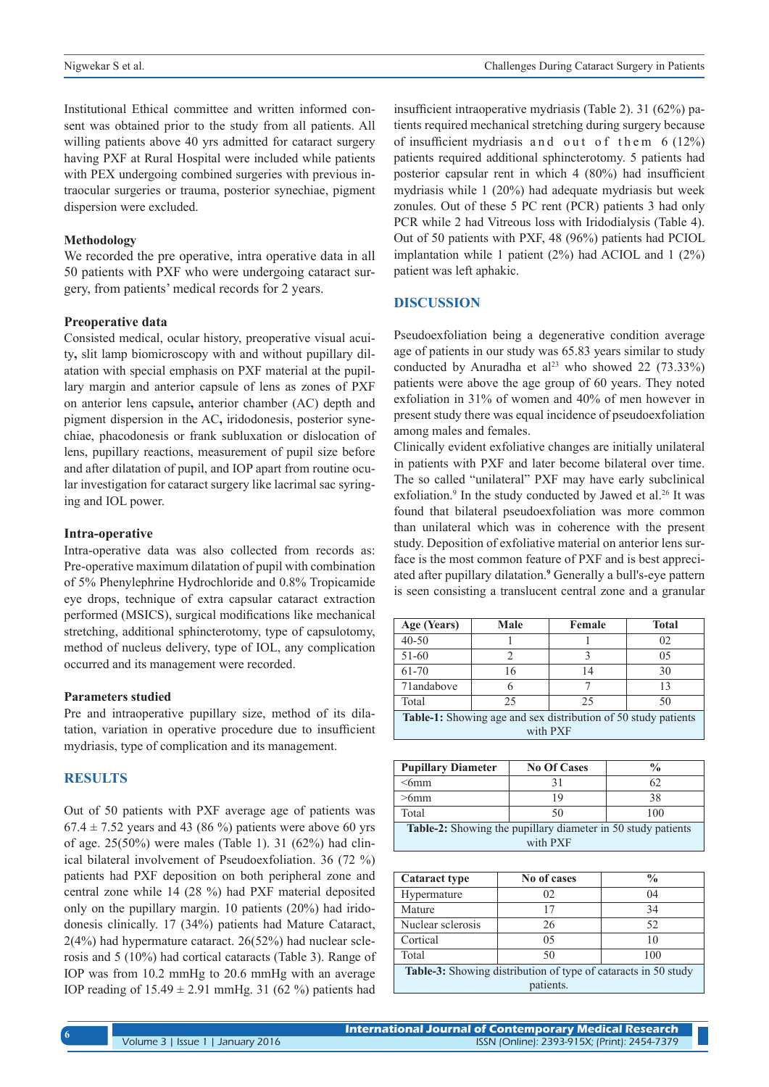Institutional Ethical committee and written informed consent was obtained prior to the study from all patients. All willing patients above 40 yrs admitted for cataract surgery having PXF at Rural Hospital were included while patients with PEX undergoing combined surgeries with previous intraocular surgeries or trauma, posterior synechiae, pigment dispersion were excluded.

#### **Methodology**

We recorded the pre operative, intra operative data in all 50 patients with PXF who were undergoing cataract surgery, from patients' medical records for 2 years.

#### **Preoperative data**

Consisted medical, ocular history, preoperative visual acuity**,** slit lamp biomicroscopy with and without pupillary dilatation with special emphasis on PXF material at the pupillary margin and anterior capsule of lens as zones of PXF on anterior lens capsule**,** anterior chamber (AC) depth and pigment dispersion in the AC**,** iridodonesis, posterior synechiae, phacodonesis or frank subluxation or dislocation of lens, pupillary reactions, measurement of pupil size before and after dilatation of pupil, and IOP apart from routine ocular investigation for cataract surgery like lacrimal sac syringing and IOL power.

#### **Intra-operative**

Intra-operative data was also collected from records as: Pre-operative maximum dilatation of pupil with combination of 5% Phenylephrine Hydrochloride and 0.8% Tropicamide eye drops, technique of extra capsular cataract extraction performed (MSICS), surgical modifications like mechanical stretching, additional sphincterotomy, type of capsulotomy, method of nucleus delivery, type of IOL, any complication occurred and its management were recorded.

#### **Parameters studied**

Pre and intraoperative pupillary size, method of its dilatation, variation in operative procedure due to insufficient mydriasis, type of complication and its management.

## **RESULTS**

Out of 50 patients with PXF average age of patients was  $67.4 \pm 7.52$  years and 43 (86 %) patients were above 60 yrs of age. 25(50%) were males (Table 1). 31 (62%) had clinical bilateral involvement of Pseudoexfoliation. 36 (72 %) patients had PXF deposition on both peripheral zone and central zone while 14 (28 %) had PXF material deposited only on the pupillary margin. 10 patients (20%) had iridodonesis clinically. 17 (34%) patients had Mature Cataract, 2(4%) had hypermature cataract. 26(52%) had nuclear sclerosis and 5 (10%) had cortical cataracts (Table 3). Range of IOP was from 10.2 mmHg to 20.6 mmHg with an average IOP reading of  $15.49 \pm 2.91$  mmHg. 31 (62 %) patients had

insufficient intraoperative mydriasis (Table 2). 31 (62%) patients required mechanical stretching during surgery because of insufficient mydriasis and out of them  $6(12%)$ patients required additional sphincterotomy. 5 patients had posterior capsular rent in which 4 (80%) had insufficient mydriasis while 1 (20%) had adequate mydriasis but week zonules. Out of these 5 PC rent (PCR) patients 3 had only PCR while 2 had Vitreous loss with Iridodialysis (Table 4). Out of 50 patients with PXF, 48 (96%) patients had PCIOL implantation while 1 patient  $(2%)$  had ACIOL and 1  $(2%)$ patient was left aphakic.

## **DISCUSSION**

Pseudoexfoliation being a degenerative condition average age of patients in our study was 65.83 years similar to study conducted by Anuradha et al<sup>23</sup> who showed 22 (73.33%) patients were above the age group of 60 years. They noted exfoliation in 31% of women and 40% of men however in present study there was equal incidence of pseudoexfoliation among males and females.

Clinically evident exfoliative changes are initially unilateral in patients with PXF and later become bilateral over time. The so called "unilateral" PXF may have early subclinical exfoliation.<sup>9</sup> In the study conducted by Jawed et al.<sup>26</sup> It was found that bilateral pseudoexfoliation was more common than unilateral which was in coherence with the present study. Deposition of exfoliative material on anterior lens surface is the most common feature of PXF and is best appreciated after pupillary dilatation.**<sup>9</sup>** Generally a bull's-eye pattern is seen consisting a translucent central zone and a granular

| Age (Years)                                                           | Male | Female | <b>Total</b> |  |  |
|-----------------------------------------------------------------------|------|--------|--------------|--|--|
| $40 - 50$                                                             |      |        | 02           |  |  |
| 51-60                                                                 |      |        | 05           |  |  |
| 61-70                                                                 | 16   | 14     | 30           |  |  |
| 71andabove                                                            |      |        | 13           |  |  |
| Total                                                                 | 25   | 25     | 50           |  |  |
| <b>Table-1:</b> Showing age and sex distribution of 50 study patients |      |        |              |  |  |
| with PXF                                                              |      |        |              |  |  |

| <b>Pupillary Diameter</b>                                    | <b>No Of Cases</b> | $\frac{0}{0}$ |  |  |  |
|--------------------------------------------------------------|--------------------|---------------|--|--|--|
| $<$ 6mm                                                      | 31                 |               |  |  |  |
| >6mm                                                         | 19                 | 38            |  |  |  |
| Total                                                        | 50                 | 100           |  |  |  |
| Table-2: Showing the pupillary diameter in 50 study patients |                    |               |  |  |  |
| with PXF                                                     |                    |               |  |  |  |

| <b>Cataract type</b>                                           | No of cases | $\frac{0}{0}$ |  |  |  |
|----------------------------------------------------------------|-------------|---------------|--|--|--|
| Hypermature                                                    | 02          | 04            |  |  |  |
| Mature                                                         |             | 34            |  |  |  |
| Nuclear sclerosis                                              | 26          | 52            |  |  |  |
| Cortical                                                       | 0.5         | 10            |  |  |  |
| Total                                                          | 50          | 100           |  |  |  |
| Table-3: Showing distribution of type of cataracts in 50 study |             |               |  |  |  |
| patients.                                                      |             |               |  |  |  |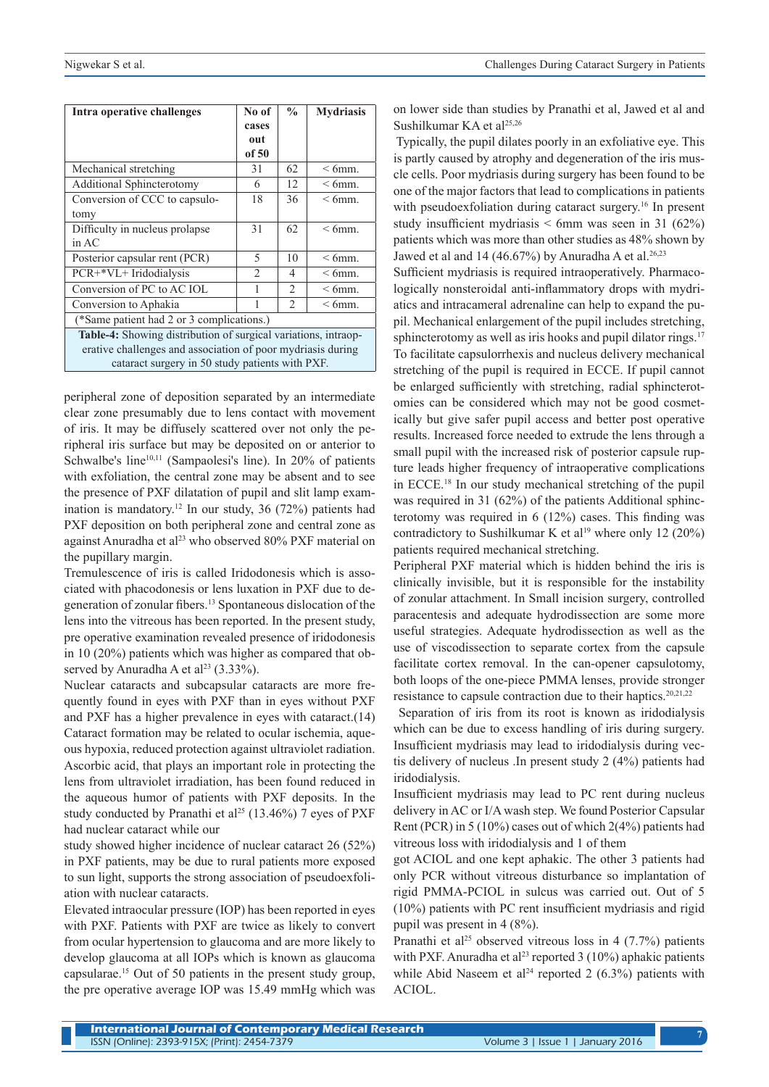| Intra operative challenges                                     | No of<br>cases<br>out | $\frac{6}{9}$                 | <b>Mydriasis</b> |  |
|----------------------------------------------------------------|-----------------------|-------------------------------|------------------|--|
|                                                                | of 50                 |                               |                  |  |
| Mechanical stretching                                          | 31                    | 62                            | $<$ 6mm.         |  |
| <b>Additional Sphincterotomy</b>                               | 6                     | 12                            | $< 6$ mm.        |  |
| Conversion of CCC to capsulo-                                  | 18                    | 36                            | $<$ 6mm.         |  |
| tomy                                                           |                       |                               |                  |  |
| Difficulty in nucleus prolapse.                                | 31                    | 62                            | $<$ 6mm.         |  |
| in AC                                                          |                       |                               |                  |  |
| Posterior capsular rent (PCR)                                  | 5                     | 10                            | $< 6$ mm.        |  |
| PCR+*VL+ Iridodialysis                                         | $\mathcal{D}$         | 4                             | $<$ 6mm.         |  |
| Conversion of PC to AC IOL                                     |                       | $\mathfrak{D}_{\mathfrak{p}}$ | $<$ 6mm.         |  |
| Conversion to Aphakia                                          |                       | $\mathfrak{D}$                | $<$ 6mm.         |  |
| (*Same patient had 2 or 3 complications.)                      |                       |                               |                  |  |
| Table-4: Showing distribution of surgical variations, intraop- |                       |                               |                  |  |
| erative challenges and association of poor mydriasis during    |                       |                               |                  |  |
| cataract surgery in 50 study patients with PXF.                |                       |                               |                  |  |

peripheral zone of deposition separated by an intermediate clear zone presumably due to lens contact with movement of iris. It may be diffusely scattered over not only the peripheral iris surface but may be deposited on or anterior to Schwalbe's line<sup>10,11</sup> (Sampaolesi's line). In 20% of patients with exfoliation, the central zone may be absent and to see the presence of PXF dilatation of pupil and slit lamp examination is mandatory.12 In our study, 36 (72%) patients had PXF deposition on both peripheral zone and central zone as against Anuradha et al<sup>23</sup> who observed 80% PXF material on the pupillary margin.

Tremulescence of iris is called Iridodonesis which is associated with phacodonesis or lens luxation in PXF due to degeneration of zonular fibers.13 Spontaneous dislocation of the lens into the vitreous has been reported. In the present study, pre operative examination revealed presence of iridodonesis in 10 (20%) patients which was higher as compared that observed by Anuradha A et al<sup>23</sup> (3.33%).

Nuclear cataracts and subcapsular cataracts are more frequently found in eyes with PXF than in eyes without PXF and PXF has a higher prevalence in eyes with cataract.(14) Cataract formation may be related to ocular ischemia, aqueous hypoxia, reduced protection against ultraviolet radiation. Ascorbic acid, that plays an important role in protecting the lens from ultraviolet irradiation, has been found reduced in the aqueous humor of patients with PXF deposits. In the study conducted by Pranathi et al<sup>25</sup> (13.46%) 7 eyes of PXF had nuclear cataract while our

study showed higher incidence of nuclear cataract 26 (52%) in PXF patients, may be due to rural patients more exposed to sun light, supports the strong association of pseudoexfoliation with nuclear cataracts.

Elevated intraocular pressure (IOP) has been reported in eyes with PXF. Patients with PXF are twice as likely to convert from ocular hypertension to glaucoma and are more likely to develop glaucoma at all IOPs which is known as glaucoma capsularae.15 Out of 50 patients in the present study group, the pre operative average IOP was 15.49 mmHg which was on lower side than studies by Pranathi et al, Jawed et al and Sushilkumar KA et al<sup>25,26</sup>

 Typically, the pupil dilates poorly in an exfoliative eye. This is partly caused by atrophy and degeneration of the iris muscle cells. Poor mydriasis during surgery has been found to be one of the major factors that lead to complications in patients with pseudoexfoliation during cataract surgery.<sup>16</sup> In present study insufficient mydriasis  $\leq 6$ mm was seen in 31 (62%) patients which was more than other studies as 48% shown by Jawed et al and 14 (46.67%) by Anuradha A et al.<sup>26,23</sup>

Sufficient mydriasis is required intraoperatively. Pharmacologically nonsteroidal anti-inflammatory drops with mydriatics and intracameral adrenaline can help to expand the pupil. Mechanical enlargement of the pupil includes stretching, sphincterotomy as well as iris hooks and pupil dilator rings.<sup>17</sup> To facilitate capsulorrhexis and nucleus delivery mechanical stretching of the pupil is required in ECCE. If pupil cannot be enlarged sufficiently with stretching, radial sphincterotomies can be considered which may not be good cosmetically but give safer pupil access and better post operative results. Increased force needed to extrude the lens through a small pupil with the increased risk of posterior capsule rupture leads higher frequency of intraoperative complications in ECCE.<sup>18</sup> In our study mechanical stretching of the pupil was required in 31 (62%) of the patients Additional sphincterotomy was required in 6 (12%) cases. This finding was contradictory to Sushilkumar K et al<sup>19</sup> where only 12 (20%) patients required mechanical stretching.

Peripheral PXF material which is hidden behind the iris is clinically invisible, but it is responsible for the instability of zonular attachment. In Small incision surgery, controlled paracentesis and adequate hydrodissection are some more useful strategies. Adequate hydrodissection as well as the use of viscodissection to separate cortex from the capsule facilitate cortex removal. In the can-opener capsulotomy, both loops of the one-piece PMMA lenses, provide stronger resistance to capsule contraction due to their haptics.20,21,22

 Separation of iris from its root is known as iridodialysis which can be due to excess handling of iris during surgery. Insufficient mydriasis may lead to iridodialysis during vectis delivery of nucleus .In present study 2 (4%) patients had iridodialysis.

Insufficient mydriasis may lead to PC rent during nucleus delivery in AC or I/A wash step. We found Posterior Capsular Rent (PCR) in 5 (10%) cases out of which 2(4%) patients had vitreous loss with iridodialysis and 1 of them

got ACIOL and one kept aphakic. The other 3 patients had only PCR without vitreous disturbance so implantation of rigid PMMA-PCIOL in sulcus was carried out. Out of 5 (10%) patients with PC rent insufficient mydriasis and rigid pupil was present in 4 (8%).

Pranathi et al<sup>25</sup> observed vitreous loss in 4  $(7.7%)$  patients with PXF. Anuradha et al<sup>23</sup> reported 3 (10%) aphakic patients while Abid Naseem et al<sup>24</sup> reported 2 (6.3%) patients with ACIOL.